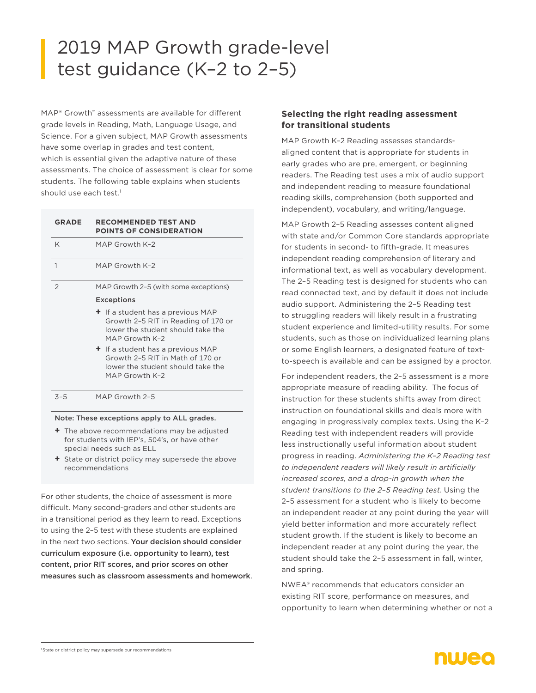# 2019 MAP Growth grade-level test guidance (K–2 to 2–5)

MAP® Growth™ assessments are available for different grade levels in Reading, Math, Language Usage, and Science. For a given subject, MAP Growth assessments have some overlap in grades and test content, which is essential given the adaptive nature of these assessments. The choice of assessment is clear for some students. The following table explains when students should use each test.<sup>1</sup>

| <b>GRADE</b>   | <b>RECOMMENDED TEST AND</b><br><b>POINTS OF CONSIDERATION</b>                                                                    |
|----------------|----------------------------------------------------------------------------------------------------------------------------------|
| K              | MAP Growth K-2                                                                                                                   |
| $\mathbf{1}$   | MAP Growth K-2                                                                                                                   |
| $\overline{2}$ | MAP Growth 2-5 (with some exceptions)<br><b>Exceptions</b>                                                                       |
|                | + If a student has a previous MAP<br>Growth 2-5 RIT in Reading of 170 or<br>lower the student should take the<br>MAP Growth K-2  |
|                | $\pm$ If a student has a previous MAP<br>Growth 2-5 RIT in Math of 170 or<br>lower the student should take the<br>MAP Growth K-2 |
| $3 - 5$        | MAP Growth 2-5                                                                                                                   |

Note: These exceptions apply to ALL grades.

- **+** The above recommendations may be adjusted for students with IEP's, 504's, or have other special needs such as ELL
- **+** State or district policy may supersede the above recommendations

For other students, the choice of assessment is more difficult. Many second-graders and other students are in a transitional period as they learn to read. Exceptions to using the 2–5 test with these students are explained in the next two sections. Your decision should consider curriculum exposure (i.e. opportunity to learn), test content, prior RIT scores, and prior scores on other measures such as classroom assessments and homework.

## **Selecting the right reading assessment for transitional students**

MAP Growth K–2 Reading assesses standardsaligned content that is appropriate for students in early grades who are pre, emergent, or beginning readers. The Reading test uses a mix of audio support and independent reading to measure foundational reading skills, comprehension (both supported and independent), vocabulary, and writing/language.

MAP Growth 2–5 Reading assesses content aligned with state and/or Common Core standards appropriate for students in second- to fifth-grade. It measures independent reading comprehension of literary and informational text, as well as vocabulary development. The 2–5 Reading test is designed for students who can read connected text, and by default it does not include audio support. Administering the 2–5 Reading test to struggling readers will likely result in a frustrating student experience and limited-utility results. For some students, such as those on individualized learning plans or some English learners, a designated feature of textto-speech is available and can be assigned by a proctor.

For independent readers, the 2–5 assessment is a more appropriate measure of reading ability. The focus of instruction for these students shifts away from direct instruction on foundational skills and deals more with engaging in progressively complex texts. Using the K–2 Reading test with independent readers will provide less instructionally useful information about student progress in reading. *Administering the K–2 Reading test to independent readers will likely result in artificially increased scores, and a drop-in growth when the student transitions to the 2–5 Reading test*. Using the 2–5 assessment for a student who is likely to become an independent reader at any point during the year will yield better information and more accurately reflect student growth. If the student is likely to become an independent reader at any point during the year, the student should take the 2–5 assessment in fall, winter, and spring.

NWEA® recommends that educators consider an existing RIT score, performance on measures, and opportunity to learn when determining whether or not a